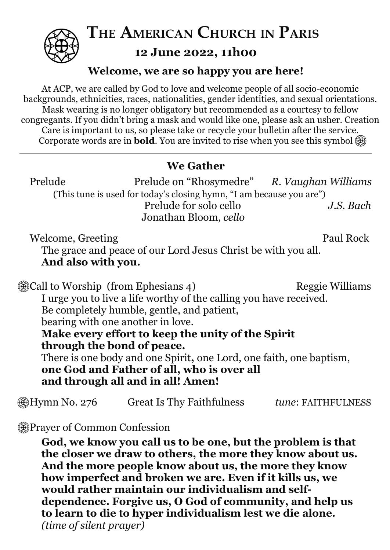

**THE AMERICAN CHURCH IN PARIS 12 June 2022, 11h00**

### **Welcome, we are so happy you are here!**

At ACP, we are called by God to love and welcome people of all socio-economic backgrounds, ethnicities, races, nationalities, gender identities, and sexual orientations. Mask wearing is no longer obligatory but recommended as a courtesy to fellow congregants. If you didn't bring a mask and would like one, please ask an usher. Creation Care is important to us, so please take or recycle your bulletin after the service. Corporate words are in **bold**. You are invited to rise when you see this symbol

## **We Gather**

| Prelude                                                              | Prelude on "Rhosymedre" R. Vaughan Williams |           |  |
|----------------------------------------------------------------------|---------------------------------------------|-----------|--|
| (This tune is used for today's closing hymn, "I am because you are") |                                             |           |  |
|                                                                      | Prelude for solo cello                      | J.S. Bach |  |
|                                                                      | Jonathan Bloom, cello                       |           |  |

Welcome, Greeting Paul Rock The grace and peace of our Lord Jesus Christ be with you all. **And also with you.**

| <b>@ Call to Worship (from Ephesians 4)</b>                         | <b>Reggie Williams</b> |  |
|---------------------------------------------------------------------|------------------------|--|
| I urge you to live a life worthy of the calling you have received.  |                        |  |
| Be completely humble, gentle, and patient,                          |                        |  |
| bearing with one another in love.                                   |                        |  |
| Make every effort to keep the unity of the Spirit                   |                        |  |
| through the bond of peace.                                          |                        |  |
| There is one body and one Spirit, one Lord, one faith, one baptism, |                        |  |
| one God and Father of all, who is over all                          |                        |  |
| and through all and in all! Amen!                                   |                        |  |
|                                                                     |                        |  |

## Hymn No. 276 Great Is Thy Faithfulness *tune*: FAITHFULNESS

## Prayer of Common Confession

**God, we know you call us to be one, but the problem is that the closer we draw to others, the more they know about us. And the more people know about us, the more they know how imperfect and broken we are. Even if it kills us, we would rather maintain our individualism and selfdependence. Forgive us, O God of community, and help us to learn to die to hyper individualism lest we die alone.** *(time of silent prayer)*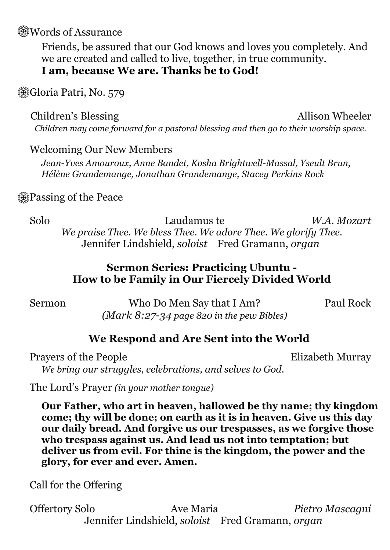**Words of Assurance** 

Friends, be assured that our God knows and loves you completely. And we are created and called to live, together, in true community. **I am, because We are. Thanks be to God!**

**Gioria Patri, No. 579** 

Children's Blessing Allison Wheeler

*Children may come forward for a pastoral blessing and then go to their worship space.*

### Welcoming Our New Members

*Jean-Yves Amouroux, Anne Bandet, Kosha Brightwell-Massal, Yseult Brun, Hélène Grandemange, Jonathan Grandemange, Stacey Perkins Rock*

## Passing of the Peace

Solo Laudamus te *W.A. Mozart We praise Thee. We bless Thee. We adore Thee. We glorify Thee.* Jennifer Lindshield, *soloist* Fred Gramann, *organ*

## **Sermon Series: Practicing Ubuntu - How to be Family in Our Fiercely Divided World**

Sermon Who Do Men Say that I Am? Paul Rock *(Mark 8:27-34 page 820 in the pew Bibles)*

## **We Respond and Are Sent into the World**

Prayers of the People Elizabeth Murray *We bring our struggles, celebrations, and selves to God.*

The Lord's Prayer *(in your mother tongue)*

**Our Father, who art in heaven, hallowed be thy name; thy kingdom come; thy will be done; on earth as it is in heaven. Give us this day our daily bread. And forgive us our trespasses, as we forgive those who trespass against us. And lead us not into temptation; but deliver us from evil. For thine is the kingdom, the power and the glory, for ever and ever. Amen.**

Call for the Offering

Offertory Solo Ave Maria *Pietro Mascagni* Jennifer Lindshield, *soloist* Fred Gramann, *organ*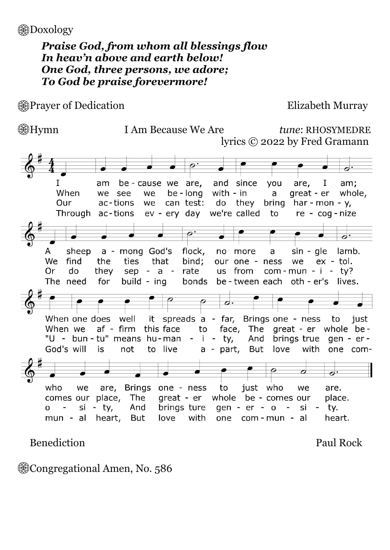**B**Doxology

### *Praise God, from whom all blessings flow In heav'n above and earth below! One God, three persons, we adore; To God be praise forevermore!*

**A** Prayer of Dedication Elizabeth Murray

#### Hymn I Am Because We Are *tune*: RHOSYMEDRE lyrics © 2022 by Fred Gramann



Benediction Paul Rock

Congregational Amen, No. 586